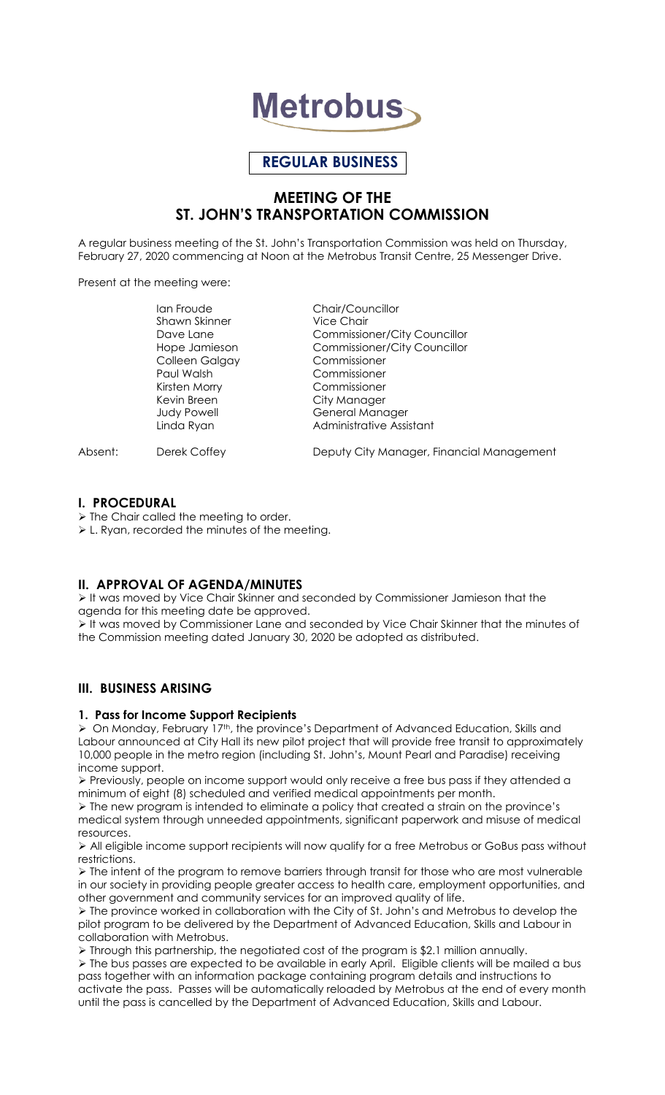

# **REGULAR BUSINESS**

## **MEETING OF THE ST. JOHN'S TRANSPORTATION COMMISSION**

A regular business meeting of the St. John's Transportation Commission was held on Thursday, February 27, 2020 commencing at Noon at the Metrobus Transit Centre, 25 Messenger Drive.

Present at the meeting were:

Shawn Skinner Vice Chair Colleen Galgay Commissioner Paul Walsh Commissioner Kirsten Morry Commissioner Kevin Breen City Manager

Ian Froude Chair/Councillor Dave Lane Commissioner/City Councillor Hope Jamieson Commissioner/City Councillor Judy Powell General Manager Linda Ryan **Administrative Assistant** 

Absent: Derek Coffey **Deputy City Manager, Financial Management** 

## **I. PROCEDURAL**

 $\triangleright$  The Chair called the meeting to order.

L. Ryan, recorded the minutes of the meeting.

## **II. APPROVAL OF AGENDA/MINUTES**

 It was moved by Vice Chair Skinner and seconded by Commissioner Jamieson that the agenda for this meeting date be approved.

It was moved by Commissioner Lane and seconded by Vice Chair Skinner that the minutes of the Commission meeting dated January 30, 2020 be adopted as distributed.

## **III. BUSINESS ARISING**

## **1. Pass for Income Support Recipients**

▶ On Monday, February 17<sup>th</sup>, the province's Department of Advanced Education, Skills and Labour announced at City Hall its new pilot project that will provide free transit to approximately 10,000 people in the metro region (including St. John's, Mount Pearl and Paradise) receiving income support.

 $\triangleright$  Previously, people on income support would only receive a free bus pass if they attended a minimum of eight (8) scheduled and verified medical appointments per month.

 $\triangleright$  The new program is intended to eliminate a policy that created a strain on the province's medical system through unneeded appointments, significant paperwork and misuse of medical resources.

 $\triangleright$  All eligible income support recipients will now qualify for a free Metrobus or GoBus pass without restrictions.

 $\triangleright$  The intent of the program to remove barriers through transit for those who are most vulnerable in our society in providing people greater access to health care, employment opportunities, and other government and community services for an improved quality of life.

 $\triangleright$  The province worked in collaboration with the City of St. John's and Metrobus to develop the pilot program to be delivered by the Department of Advanced Education, Skills and Labour in collaboration with Metrobus.

 Through this partnership, the negotiated cost of the program is \$2.1 million annually.  $\triangleright$  The bus passes are expected to be available in early April. Eligible clients will be mailed a bus pass together with an information package containing program details and instructions to activate the pass. Passes will be automatically reloaded by Metrobus at the end of every month until the pass is cancelled by the Department of Advanced Education, Skills and Labour.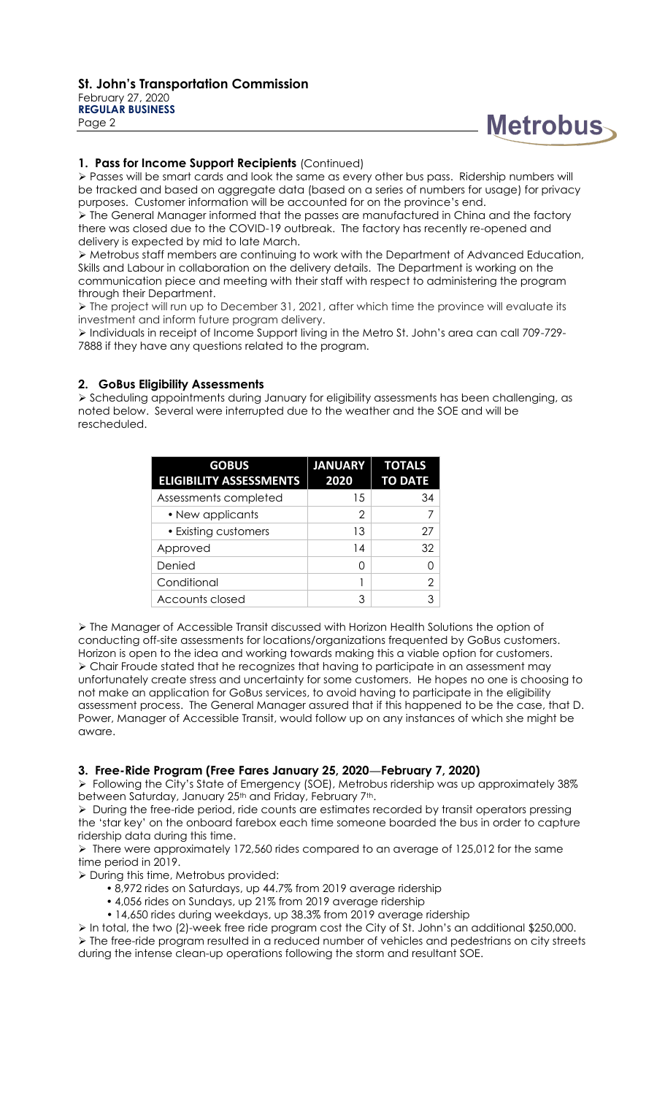Page 2

# **Metrobus**

## **1. Pass for Income Support Recipients** (Continued)

 Passes will be smart cards and look the same as every other bus pass. Ridership numbers will be tracked and based on aggregate data (based on a series of numbers for usage) for privacy purposes. Customer information will be accounted for on the province's end.

 The General Manager informed that the passes are manufactured in China and the factory there was closed due to the COVID-19 outbreak. The factory has recently re-opened and delivery is expected by mid to late March.

 Metrobus staff members are continuing to work with the Department of Advanced Education, Skills and Labour in collaboration on the delivery details. The Department is working on the communication piece and meeting with their staff with respect to administering the program through their Department.

> The project will run up to December 31, 2021, after which time the province will evaluate its investment and inform future program delivery.

 Individuals in receipt of Income Support living in the Metro St. John's area can call 709-729- 7888 if they have any questions related to the program.

## **2. GoBus Eligibility Assessments**

 Scheduling appointments during January for eligibility assessments has been challenging, as noted below. Several were interrupted due to the weather and the SOE and will be rescheduled.

| <b>GOBUS</b>                   | <b>JANUARY</b> | <b>TOTALS</b>  |
|--------------------------------|----------------|----------------|
| <b>ELIGIBILITY ASSESSMENTS</b> | 2020           | <b>TO DATE</b> |
| Assessments completed          | 15             | 34             |
| • New applicants               | 2              | 7              |
| • Existing customers           | 13             | 27             |
| Approved                       | 14             | 32             |
| Denied                         | O              |                |
| Conditional                    |                | 2              |
| Accounts closed                | 3              | 3              |

 The Manager of Accessible Transit discussed with Horizon Health Solutions the option of conducting off-site assessments for locations/organizations frequented by GoBus customers. Horizon is open to the idea and working towards making this a viable option for customers. Chair Froude stated that he recognizes that having to participate in an assessment may unfortunately create stress and uncertainty for some customers. He hopes no one is choosing to not make an application for GoBus services, to avoid having to participate in the eligibility assessment process. The General Manager assured that if this happened to be the case, that D. Power, Manager of Accessible Transit, would follow up on any instances of which she might be aware.

## **3. Free-Ride Program (Free Fares January 25, 2020—February 7, 2020)**

 Following the City's State of Emergency (SOE), Metrobus ridership was up approximately 38% between Saturday, January 25<sup>th</sup> and Friday, February 7<sup>th</sup>.

> During the free-ride period, ride counts are estimates recorded by transit operators pressing the 'star key' on the onboard farebox each time someone boarded the bus in order to capture ridership data during this time.

 $\triangleright$  There were approximately 172,560 rides compared to an average of 125,012 for the same time period in 2019.

During this time, Metrobus provided:

- 8,972 rides on Saturdays, up 44.7% from 2019 average ridership
- 4,056 rides on Sundays, up 21% from 2019 average ridership
- 14,650 rides during weekdays, up 38.3% from 2019 average ridership

 In total, the two (2)-week free ride program cost the City of St. John's an additional \$250,000.  $\triangleright$  The free-ride program resulted in a reduced number of vehicles and pedestrians on city streets during the intense clean-up operations following the storm and resultant SOE.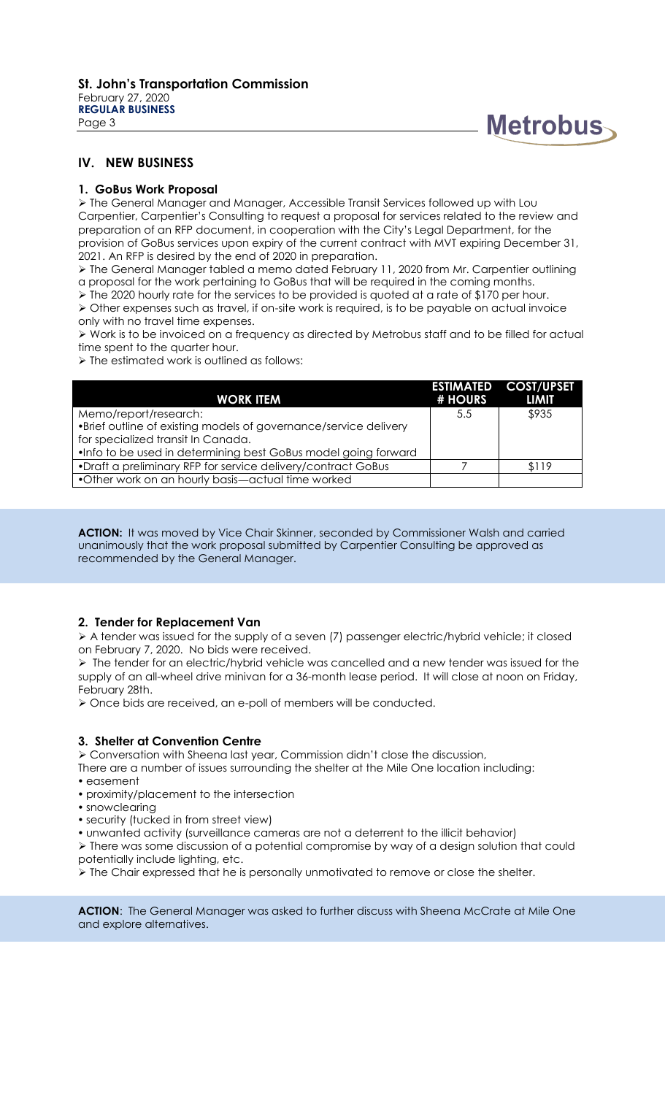

## **IV. NEW BUSINESS**

## **1. GoBus Work Proposal**

 The General Manager and Manager, Accessible Transit Services followed up with Lou Carpentier, Carpentier's Consulting to request a proposal for services related to the review and preparation of an RFP document, in cooperation with the City's Legal Department, for the provision of GoBus services upon expiry of the current contract with MVT expiring December 31, 2021. An RFP is desired by the end of 2020 in preparation.

 The General Manager tabled a memo dated February 11, 2020 from Mr. Carpentier outlining a proposal for the work pertaining to GoBus that will be required in the coming months.

 $\triangleright$  The 2020 hourly rate for the services to be provided is quoted at a rate of \$170 per hour.

 Other expenses such as travel, if on-site work is required, is to be payable on actual invoice only with no travel time expenses.

 $\triangleright$  Work is to be invoiced on a frequency as directed by Metrobus staff and to be filled for actual time spent to the quarter hour.

> The estimated work is outlined as follows:

| # HOURS | <b>ESTIMATED COST/UPSET</b><br><b>LIMIT</b> |
|---------|---------------------------------------------|
| 5.5     | \$935                                       |
|         |                                             |
|         |                                             |
|         |                                             |
|         | \$119                                       |
|         |                                             |
|         |                                             |

**ACTION:** It was moved by Vice Chair Skinner, seconded by Commissioner Walsh and carried unanimously that the work proposal submitted by Carpentier Consulting be approved as recommended by the General Manager.

## **2. Tender for Replacement Van**

 A tender was issued for the supply of a seven (7) passenger electric/hybrid vehicle; it closed on February 7, 2020. No bids were received.

 $\triangleright$  The tender for an electric/hybrid vehicle was cancelled and a new tender was issued for the supply of an all-wheel drive minivan for a 36-month lease period. It will close at noon on Friday, February 28th.

Once bids are received, an e-poll of members will be conducted.

## **3. Shelter at Convention Centre**

Conversation with Sheena last year, Commission didn't close the discussion,

There are a number of issues surrounding the shelter at the Mile One location including:

- easement
- proximity/placement to the intersection
- snowclearing
- security (tucked in from street view)
- unwanted activity (surveillance cameras are not a deterrent to the illicit behavior)

 There was some discussion of a potential compromise by way of a design solution that could potentially include lighting, etc.

 $\triangleright$  The Chair expressed that he is personally unmotivated to remove or close the shelter.

**ACTION:** The General Manager was asked to further discuss with Sheena McCrate at Mile One and explore alternatives.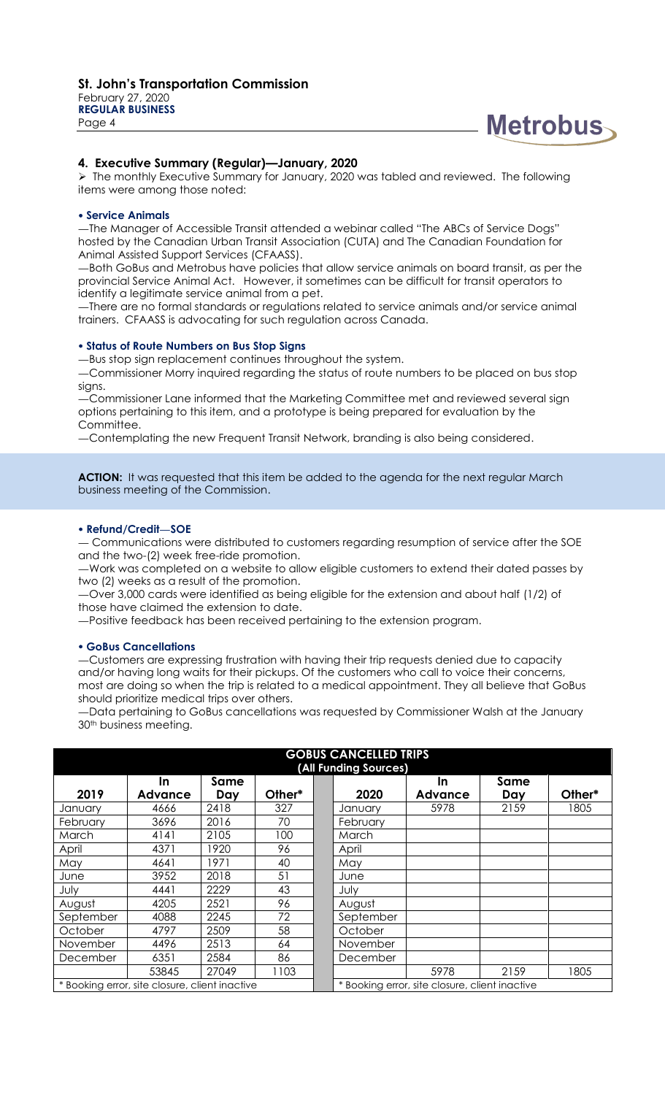

#### **4. Executive Summary (Regular)—January, 2020**

 $\triangleright$  The monthly Executive Summary for January, 2020 was tabled and reviewed. The following items were among those noted:

#### **Service Animals**

—The Manager of Accessible Transit attended a webinar called "The ABCs of Service Dogs" hosted by the Canadian Urban Transit Association (CUTA) and The Canadian Foundation for Animal Assisted Support Services (CFAASS).

—Both GoBus and Metrobus have policies that allow service animals on board transit, as per the provincial Service Animal Act. However, it sometimes can be difficult for transit operators to identify a legitimate service animal from a pet.

—There are no formal standards or regulations related to service animals and/or service animal trainers. CFAASS is advocating for such regulation across Canada.

#### **Status of Route Numbers on Bus Stop Signs**

—Bus stop sign replacement continues throughout the system.

—Commissioner Morry inquired regarding the status of route numbers to be placed on bus stop signs.

—Commissioner Lane informed that the Marketing Committee met and reviewed several sign options pertaining to this item, and a prototype is being prepared for evaluation by the Committee.

—Contemplating the new Frequent Transit Network, branding is also being considered.

**ACTION:** It was requested that this item be added to the agenda for the next regular March business meeting of the Commission.

#### **Refund/Credit—SOE**

— Communications were distributed to customers regarding resumption of service after the SOE and the two-(2) week free-ride promotion.

—Work was completed on a website to allow eligible customers to extend their dated passes by two (2) weeks as a result of the promotion.

—Over 3,000 cards were identified as being eligible for the extension and about half (1/2) of those have claimed the extension to date.

—Positive feedback has been received pertaining to the extension program.

#### **GoBus Cancellations**

—Customers are expressing frustration with having their trip requests denied due to capacity and/or having long waits for their pickups. Of the customers who call to voice their concerns, most are doing so when the trip is related to a medical appointment. They all believe that GoBus should prioritize medical trips over others.

—Data pertaining to GoBus cancellations was requested by Commissioner Walsh at the January 30<sup>th</sup> business meeting.

| <b>GOBUS CANCELLED TRIPS</b><br>(All Funding Sources) |                             |             |        |                                                |           |               |             |        |  |
|-------------------------------------------------------|-----------------------------|-------------|--------|------------------------------------------------|-----------|---------------|-------------|--------|--|
| 2019                                                  | <u>In</u><br><b>Advance</b> | Same<br>Day | Other* |                                                | 2020      | In<br>Advance | Same<br>Day | Other* |  |
| January                                               | 4666                        | 2418        | 327    |                                                | January   | 5978          | 2159        | 1805   |  |
| February                                              | 3696                        | 2016        | 70     |                                                | February  |               |             |        |  |
| March                                                 | 4141                        | 2105        | 100    |                                                | March     |               |             |        |  |
| April                                                 | 4371                        | 1920        | 96     |                                                | April     |               |             |        |  |
| May                                                   | 4641                        | 1971        | 40     |                                                | May       |               |             |        |  |
| June                                                  | 3952                        | 2018        | 51     |                                                | June      |               |             |        |  |
| July                                                  | 4441                        | 2229        | 43     |                                                | July      |               |             |        |  |
| August                                                | 4205                        | 2521        | 96     |                                                | August    |               |             |        |  |
| September                                             | 4088                        | 2245        | 72     |                                                | September |               |             |        |  |
| October                                               | 4797                        | 2509        | 58     |                                                | October   |               |             |        |  |
| <b>November</b>                                       | 4496                        | 2513        | 64     |                                                | November  |               |             |        |  |
| <b>December</b>                                       | 6351                        | 2584        | 86     |                                                | December  |               |             |        |  |
|                                                       | 53845                       | 27049       | 1103   |                                                |           | 5978          | 2159        | 1805   |  |
| * Booking error, site closure, client inactive        |                             |             |        | * Booking error, site closure, client inactive |           |               |             |        |  |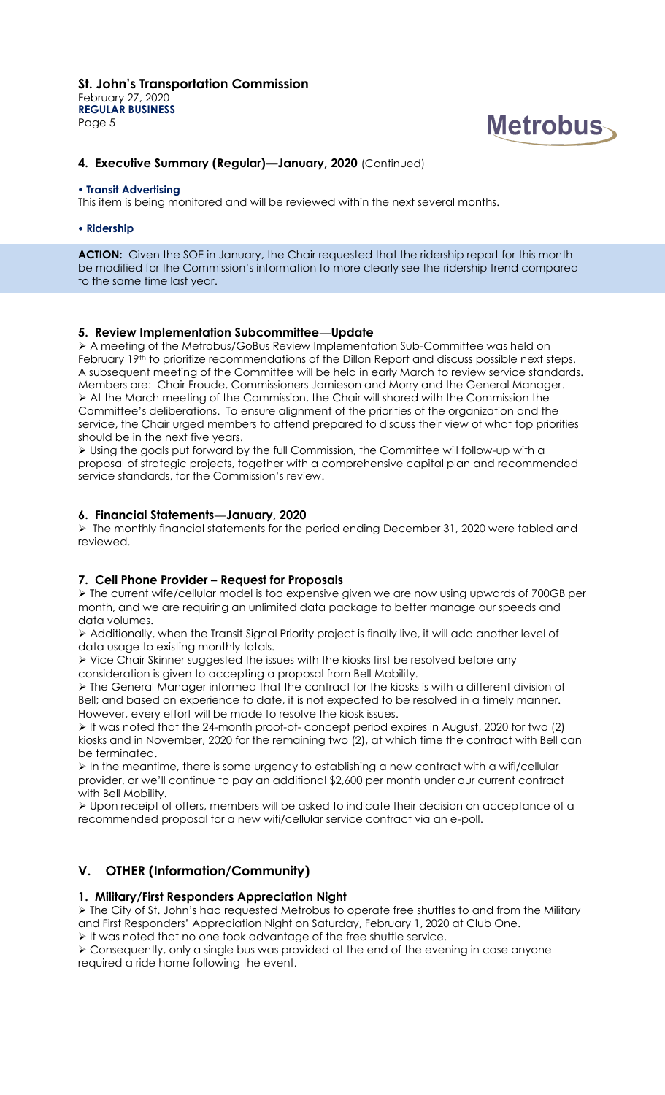

## **4. Executive Summary (Regular)—January, 2020** (Continued)

#### **Transit Advertising**

This item is being monitored and will be reviewed within the next several months.

#### **Ridership**

ACTION: Given the SOE in January, the Chair requested that the ridership report for this month be modified for the Commission's information to more clearly see the ridership trend compared to the same time last year.

## **5. Review Implementation Subcommittee—Update**

 A meeting of the Metrobus/GoBus Review Implementation Sub-Committee was held on February 19<sup>th</sup> to prioritize recommendations of the Dillon Report and discuss possible next steps. A subsequent meeting of the Committee will be held in early March to review service standards. Members are: Chair Froude, Commissioners Jamieson and Morry and the General Manager. At the March meeting of the Commission, the Chair will shared with the Commission the Committee's deliberations. To ensure alignment of the priorities of the organization and the service, the Chair urged members to attend prepared to discuss their view of what top priorities should be in the next five years.

 Using the goals put forward by the full Commission, the Committee will follow-up with a proposal of strategic projects, together with a comprehensive capital plan and recommended service standards, for the Commission's review.

#### **6. Financial Statements—January, 2020**

 The monthly financial statements for the period ending December 31, 2020 were tabled and reviewed.

## **7. Cell Phone Provider – Request for Proposals**

 The current wife/cellular model is too expensive given we are now using upwards of 700GB per month, and we are requiring an unlimited data package to better manage our speeds and data volumes.

 Additionally, when the Transit Signal Priority project is finally live, it will add another level of data usage to existing monthly totals.

 $\triangleright$  Vice Chair Skinner suggested the issues with the kiosks first be resolved before any consideration is given to accepting a proposal from Bell Mobility.

 $\triangleright$  The General Manager informed that the contract for the kiosks is with a different division of Bell; and based on experience to date, it is not expected to be resolved in a timely manner. However, every effort will be made to resolve the kiosk issues.

 It was noted that the 24-month proof-of- concept period expires in August, 2020 for two (2) kiosks and in November, 2020 for the remaining two (2), at which time the contract with Bell can be terminated.

 $\triangleright$  In the meantime, there is some urgency to establishing a new contract with a wifi/cellular provider, or we'll continue to pay an additional \$2,600 per month under our current contract with Bell Mobility.

 $\triangleright$  Upon receipt of offers, members will be asked to indicate their decision on acceptance of a recommended proposal for a new wifi/cellular service contract via an e-poll.

## **V. OTHER (Information/Community)**

## **1. Military/First Responders Appreciation Night**

 The City of St. John's had requested Metrobus to operate free shuttles to and from the Military and First Responders' Appreciation Night on Saturday, February 1, 2020 at Club One.

 $\triangleright$  It was noted that no one took advantage of the free shuttle service.

 Consequently, only a single bus was provided at the end of the evening in case anyone required a ride home following the event.